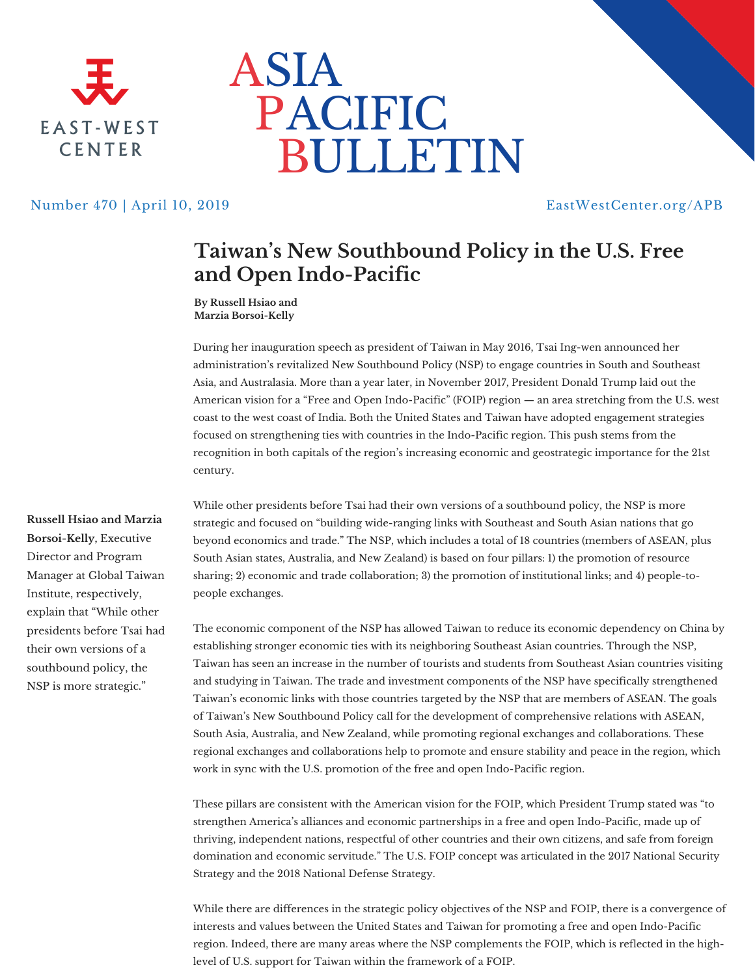



## Number 470 | April 10, 2019 EastWestCenter.org/APB

## **Taiwan's New Southbound Policy in the U.S. Free and Open Indo-Pacific**

**By Russell Hsiao and Marzia Borsoi-Kelly**

During her inauguration speech as president of Taiwan in May 2016, Tsai Ing-wen announced her administration's revitalized New Southbound Policy (NSP) to engage countries in South and Southeast Asia, and Australasia. More than a year later, in November 2017, President Donald Trump laid out the American vision for a "Free and Open Indo-Pacific" (FOIP) region — an area stretching from the U.S. west coast to the west coast of India. Both the United States and Taiwan have adopted engagement strategies focused on strengthening ties with countries in the Indo-Pacific region. This push stems from the recognition in both capitals of the region's increasing economic and geostrategic importance for the 21st century.

While other presidents before Tsai had their own versions of a southbound policy, the NSP is more strategic and focused on "building wide-ranging links with Southeast and South Asian nations that go beyond economics and trade." The NSP, which includes a total of 18 countries (members of ASEAN, plus South Asian states, Australia, and New Zealand) is based on four pillars: 1) the promotion of resource sharing; 2) economic and trade collaboration; 3) the promotion of institutional links; and 4) people-topeople exchanges.

The economic component of the NSP has allowed Taiwan to reduce its economic dependency on China by establishing stronger economic ties with its neighboring Southeast Asian countries. Through the NSP, Taiwan has seen an increase in the number of tourists and students from Southeast Asian countries visiting and studying in Taiwan. The trade and investment components of the NSP have specifically strengthened Taiwan's economic links with those countries targeted by the NSP that are members of ASEAN. The goals of Taiwan's New Southbound Policy call for the development of comprehensive relations with ASEAN, South Asia, Australia, and New Zealand, while promoting regional exchanges and collaborations. These regional exchanges and collaborations help to promote and ensure stability and peace in the region, which work in sync with the U.S. promotion of the free and open Indo-Pacific region.

These pillars are consistent with the American vision for the FOIP, which President Trump stated was "to strengthen America's alliances and economic partnerships in a free and open Indo-Pacific, made up of thriving, independent nations, respectful of other countries and their own citizens, and safe from foreign domination and economic servitude." The U.S. FOIP concept was articulated in the 2017 National Security Strategy and the 2018 National Defense Strategy.

While there are differences in the strategic policy objectives of the NSP and FOIP, there is a convergence of interests and values between the United States and Taiwan for promoting a free and open Indo-Pacific region. Indeed, there are many areas where the NSP complements the FOIP, which is reflected in the highlevel of U.S. support for Taiwan within the framework of a FOIP.

**Russell Hsiao and Marzia Borsoi-Kelly,** Executive Director and Program Manager at Global Taiwan Institute, respectively, explain that "While other presidents before Tsai had their own versions of a southbound policy, the NSP is more strategic."